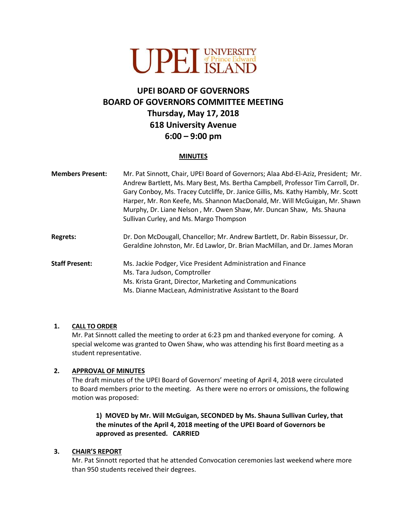

# **UPEI BOARD OF GOVERNORS BOARD OF GOVERNORS COMMITTEE MEETING Thursday, May 17, 2018 618 University Avenue 6:00 – 9:00 pm**

#### **MINUTES**

| <b>Members Present:</b> | Mr. Pat Sinnott, Chair, UPEI Board of Governors; Alaa Abd-El-Aziz, President; Mr.<br>Andrew Bartlett, Ms. Mary Best, Ms. Bertha Campbell, Professor Tim Carroll, Dr.<br>Gary Conboy, Ms. Tracey Cutcliffe, Dr. Janice Gillis, Ms. Kathy Hambly, Mr. Scott<br>Harper, Mr. Ron Keefe, Ms. Shannon MacDonald, Mr. Will McGuigan, Mr. Shawn<br>Murphy, Dr. Liane Nelson, Mr. Owen Shaw, Mr. Duncan Shaw, Ms. Shauna<br>Sullivan Curley, and Ms. Margo Thompson |
|-------------------------|------------------------------------------------------------------------------------------------------------------------------------------------------------------------------------------------------------------------------------------------------------------------------------------------------------------------------------------------------------------------------------------------------------------------------------------------------------|
| <b>Regrets:</b>         | Dr. Don McDougall, Chancellor; Mr. Andrew Bartlett, Dr. Rabin Bissessur, Dr.<br>Geraldine Johnston, Mr. Ed Lawlor, Dr. Brian MacMillan, and Dr. James Moran                                                                                                                                                                                                                                                                                                |
| <b>Staff Present:</b>   | Ms. Jackie Podger, Vice President Administration and Finance<br>Ms. Tara Judson, Comptroller<br>Ms. Krista Grant, Director, Marketing and Communications<br>Ms. Dianne MacLean, Administrative Assistant to the Board                                                                                                                                                                                                                                      |

#### **1. CALL TO ORDER**

Mr. Pat Sinnott called the meeting to order at 6:23 pm and thanked everyone for coming. A special welcome was granted to Owen Shaw, who was attending his first Board meeting as a student representative.

#### **2. APPROVAL OF MINUTES**

The draft minutes of the UPEI Board of Governors' meeting of April 4, 2018 were circulated to Board members prior to the meeting. As there were no errors or omissions, the following motion was proposed:

### **1) MOVED by Mr. Will McGuigan, SECONDED by Ms. Shauna Sullivan Curley, that the minutes of the April 4, 2018 meeting of the UPEI Board of Governors be approved as presented. CARRIED**

#### **3. CHAIR'S REPORT**

Mr. Pat Sinnott reported that he attended Convocation ceremonies last weekend where more than 950 students received their degrees.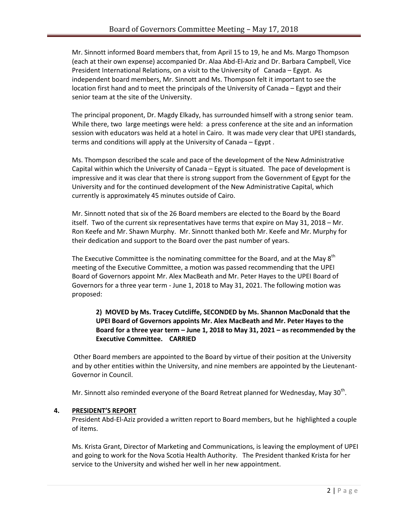Mr. Sinnott informed Board members that, from April 15 to 19, he and Ms. Margo Thompson (each at their own expense) accompanied Dr. Alaa Abd-El-Aziz and Dr. Barbara Campbell, Vice President International Relations, on a visit to the University of Canada – Egypt. As independent board members, Mr. Sinnott and Ms. Thompson felt it important to see the location first hand and to meet the principals of the University of Canada – Egypt and their senior team at the site of the University.

The principal proponent, Dr. Magdy Elkady, has surrounded himself with a strong senior team. While there, two large meetings were held: a press conference at the site and an information session with educators was held at a hotel in Cairo. It was made very clear that UPEI standards, terms and conditions will apply at the University of Canada – Egypt .

Ms. Thompson described the scale and pace of the development of the New Administrative Capital within which the University of Canada – Egypt is situated. The pace of development is impressive and it was clear that there is strong support from the Government of Egypt for the University and for the continued development of the New Administrative Capital, which currently is approximately 45 minutes outside of Cairo.

Mr. Sinnott noted that six of the 26 Board members are elected to the Board by the Board itself. Two of the current six representatives have terms that expire on May 31, 2018 – Mr. Ron Keefe and Mr. Shawn Murphy. Mr. Sinnott thanked both Mr. Keefe and Mr. Murphy for their dedication and support to the Board over the past number of years.

The Executive Committee is the nominating committee for the Board, and at the May 8<sup>th</sup> meeting of the Executive Committee, a motion was passed recommending that the UPEI Board of Governors appoint Mr. Alex MacBeath and Mr. Peter Hayes to the UPEI Board of Governors for a three year term - June 1, 2018 to May 31, 2021. The following motion was proposed:

## **2) MOVED by Ms. Tracey Cutcliffe, SECONDED by Ms. Shannon MacDonald that the UPEI Board of Governors appoints Mr. Alex MacBeath and Mr. Peter Hayes to the Board for a three year term – June 1, 2018 to May 31, 2021 – as recommended by the Executive Committee. CARRIED**

Other Board members are appointed to the Board by virtue of their position at the University and by other entities within the University, and nine members are appointed by the Lieutenant-Governor in Council.

Mr. Sinnott also reminded everyone of the Board Retreat planned for Wednesday, May 30<sup>th</sup>.

### **4. PRESIDENT'S REPORT**

President Abd-El-Aziz provided a written report to Board members, but he highlighted a couple of items.

Ms. Krista Grant, Director of Marketing and Communications, is leaving the employment of UPEI and going to work for the Nova Scotia Health Authority. The President thanked Krista for her service to the University and wished her well in her new appointment.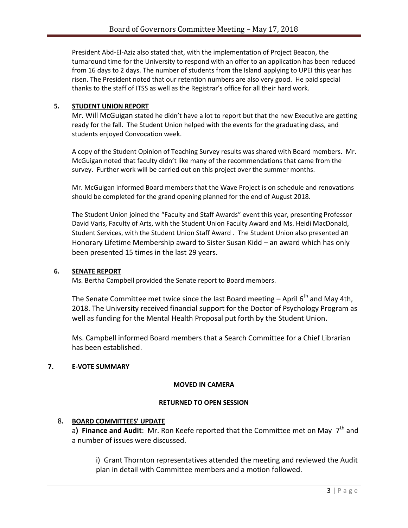President Abd-El-Aziz also stated that, with the implementation of Project Beacon, the turnaround time for the University to respond with an offer to an application has been reduced from 16 days to 2 days. The number of students from the Island applying to UPEI this year has risen. The President noted that our retention numbers are also very good. He paid special thanks to the staff of ITSS as well as the Registrar's office for all their hard work.

### **5. STUDENT UNION REPORT**

Mr. Will McGuigan stated he didn't have a lot to report but that the new Executive are getting ready for the fall. The Student Union helped with the events for the graduating class, and students enjoyed Convocation week.

A copy of the Student Opinion of Teaching Survey results was shared with Board members. Mr. McGuigan noted that faculty didn't like many of the recommendations that came from the survey. Further work will be carried out on this project over the summer months.

Mr. McGuigan informed Board members that the Wave Project is on schedule and renovations should be completed for the grand opening planned for the end of August 2018.

The Student Union joined the "Faculty and Staff Awards" event this year, presenting Professor David Varis, Faculty of Arts, with the Student Union Faculty Award and Ms. Heidi MacDonald, Student Services, with the Student Union Staff Award . The Student Union also presented an Honorary Lifetime Membership award to Sister Susan Kidd – an award which has only been presented 15 times in the last 29 years.

### **6. SENATE REPORT**

Ms. Bertha Campbell provided the Senate report to Board members.

The Senate Committee met twice since the last Board meeting  $-$  April 6<sup>th</sup> and May 4th, 2018. The University received financial support for the Doctor of Psychology Program as well as funding for the Mental Health Proposal put forth by the Student Union.

Ms. Campbell informed Board members that a Search Committee for a Chief Librarian has been established.

# **7. E-VOTE SUMMARY**

### **MOVED IN CAMERA**

### **RETURNED TO OPEN SESSION**

# 8**. BOARD COMMITTEES' UPDATE**

a) Finance and Audit: Mr. Ron Keefe reported that the Committee met on May 7<sup>th</sup> and a number of issues were discussed.

i) Grant Thornton representatives attended the meeting and reviewed the Audit plan in detail with Committee members and a motion followed.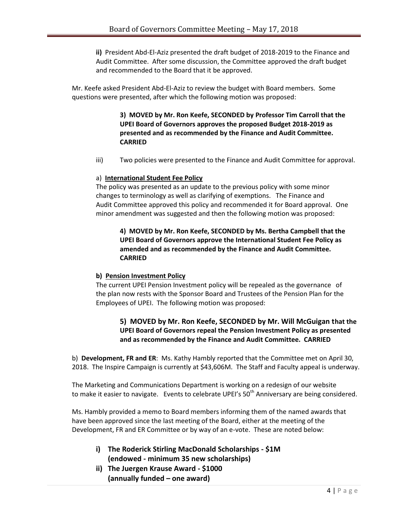**ii)** President Abd-El-Aziz presented the draft budget of 2018-2019 to the Finance and Audit Committee. After some discussion, the Committee approved the draft budget and recommended to the Board that it be approved.

Mr. Keefe asked President Abd-El-Aziz to review the budget with Board members. Some questions were presented, after which the following motion was proposed:

> **3) MOVED by Mr. Ron Keefe, SECONDED by Professor Tim Carroll that the UPEI Board of Governors approves the proposed Budget 2018-2019 as presented and as recommended by the Finance and Audit Committee. CARRIED**

iii) Two policies were presented to the Finance and Audit Committee for approval.

### a) **International Student Fee Policy**

The policy was presented as an update to the previous policy with some minor changes to terminology as well as clarifying of exemptions. The Finance and Audit Committee approved this policy and recommended it for Board approval. One minor amendment was suggested and then the following motion was proposed:

**4) MOVED by Mr. Ron Keefe, SECONDED by Ms. Bertha Campbell that the UPEI Board of Governors approve the International Student Fee Policy as amended and as recommended by the Finance and Audit Committee. CARRIED**

### **b) Pension Investment Policy**

The current UPEI Pension Investment policy will be repealed as the governance of the plan now rests with the Sponsor Board and Trustees of the Pension Plan for the Employees of UPEI. The following motion was proposed:

# **5) MOVED by Mr. Ron Keefe, SECONDED by Mr. Will McGuigan that the UPEI Board of Governors repeal the Pension Investment Policy as presented and as recommended by the Finance and Audit Committee. CARRIED**

b) **Development, FR and ER**: Ms. Kathy Hambly reported that the Committee met on April 30, 2018. The Inspire Campaign is currently at \$43,606M. The Staff and Faculty appeal is underway.

The Marketing and Communications Department is working on a redesign of our website to make it easier to navigate. Events to celebrate UPEI's 50<sup>th</sup> Anniversary are being considered.

Ms. Hambly provided a memo to Board members informing them of the named awards that have been approved since the last meeting of the Board, either at the meeting of the Development, FR and ER Committee or by way of an e-vote. These are noted below:

- **i) The Roderick Stirling MacDonald Scholarships - \$1M (endowed - minimum 35 new scholarships)**
- **ii) The Juergen Krause Award - \$1000 (annually funded – one award)**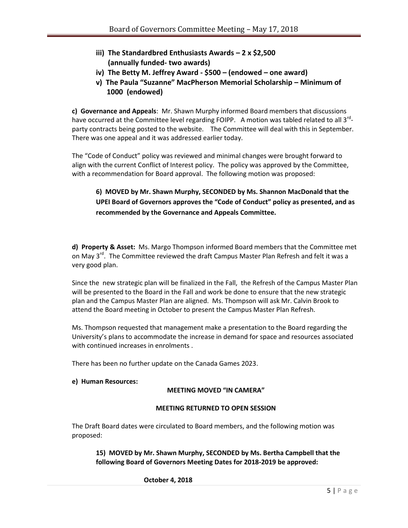- **iii) The Standardbred Enthusiasts Awards – 2 x \$2,500 (annually funded- two awards)**
- **iv) The Betty M. Jeffrey Award - \$500 – (endowed – one award)**
- **v) The Paula "Suzanne" MacPherson Memorial Scholarship – Minimum of 1000 (endowed)**

**c) Governance and Appeals**: Mr. Shawn Murphy informed Board members that discussions have occurred at the Committee level regarding FOIPP. A motion was tabled related to all 3<sup>rd</sup>party contracts being posted to the website. The Committee will deal with this in September. There was one appeal and it was addressed earlier today.

The "Code of Conduct" policy was reviewed and minimal changes were brought forward to align with the current Conflict of Interest policy. The policy was approved by the Committee, with a recommendation for Board approval. The following motion was proposed:

# **6) MOVED by Mr. Shawn Murphy, SECONDED by Ms. Shannon MacDonald that the UPEI Board of Governors approves the "Code of Conduct" policy as presented, and as recommended by the Governance and Appeals Committee.**

**d) Property & Asset:** Ms. Margo Thompson informed Board members that the Committee met on May 3<sup>rd</sup>. The Committee reviewed the draft Campus Master Plan Refresh and felt it was a very good plan.

Since the new strategic plan will be finalized in the Fall, the Refresh of the Campus Master Plan will be presented to the Board in the Fall and work be done to ensure that the new strategic plan and the Campus Master Plan are aligned. Ms. Thompson will ask Mr. Calvin Brook to attend the Board meeting in October to present the Campus Master Plan Refresh.

Ms. Thompson requested that management make a presentation to the Board regarding the University's plans to accommodate the increase in demand for space and resources associated with continued increases in enrolments .

There has been no further update on the Canada Games 2023.

### **e) Human Resources:**

### **MEETING MOVED "IN CAMERA"**

### **MEETING RETURNED TO OPEN SESSION**

The Draft Board dates were circulated to Board members, and the following motion was proposed:

**15) MOVED by Mr. Shawn Murphy, SECONDED by Ms. Bertha Campbell that the following Board of Governors Meeting Dates for 2018-2019 be approved:**

### **October 4, 2018**